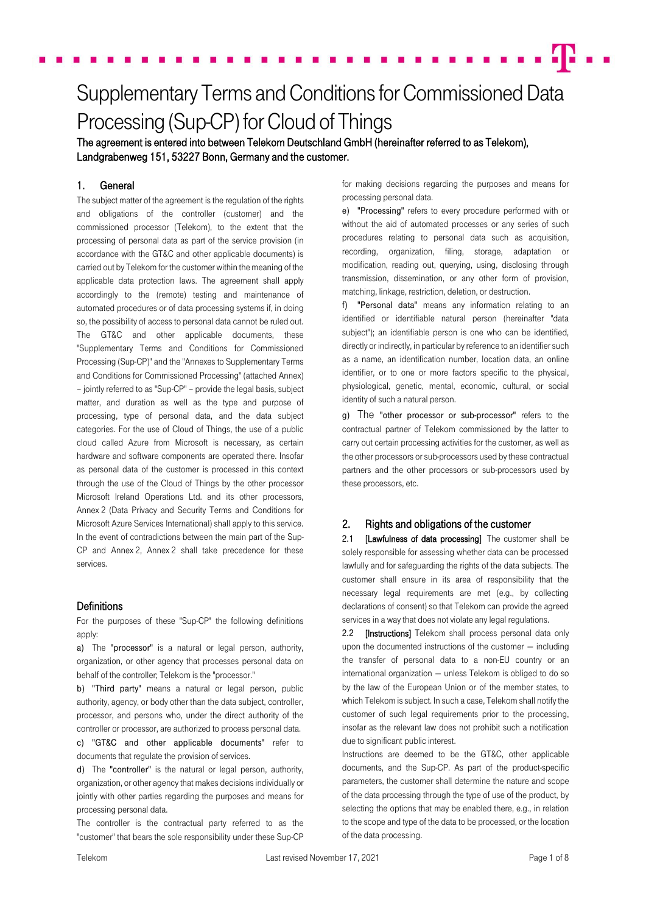# Supplementary Terms and Conditions for Commissioned Data Processing (Sup-CP) for Cloud of Things

The agreement is entered into between Telekom Deutschland GmbH (hereinafter referred to as Telekom), Landgrabenweg 151, 53227 Bonn, Germany and the customer.

# 1. General

The subject matter of the agreement is the regulation of the rights and obligations of the controller (customer) and the commissioned processor (Telekom), to the extent that the processing of personal data as part of the service provision (in accordance with the GT&C and other applicable documents) is carried out by Telekom for the customer within the meaning of the applicable data protection laws. The agreement shall apply accordingly to the (remote) testing and maintenance of automated procedures or of data processing systems if, in doing so, the possibility of access to personal data cannot be ruled out. The GT&C and other applicable documents, these "Supplementary Terms and Conditions for Commissioned Processing (Sup-CP)" and the "Annexes to Supplementary Terms and Conditions for Commissioned Processing" (attached Annex) – jointly referred to as "Sup-CP" – provide the legal basis, subject matter, and duration as well as the type and purpose of processing, type of personal data, and the data subject categories. For the use of Cloud of Things, the use of a public cloud called Azure from Microsoft is necessary, as certain hardware and software components are operated there. Insofar as personal data of the customer is processed in this context through the use of the Cloud of Things by the other processor Microsoft Ireland Operations Ltd. and its other processors, Annex 2 (Data Privacy and Security Terms and Conditions for Microsoft Azure Services International) shall apply to this service. In the event of contradictions between the main part of the Sup-CP and Annex 2, Annex 2 shall take precedence for these services.

#### **Definitions**

For the purposes of these "Sup-CP" the following definitions apply:

a) The "processor" is a natural or legal person, authority, organization, or other agency that processes personal data on behalf of the controller; Telekom is the "processor."

b) "Third party" means a natural or legal person, public authority, agency, or body other than the data subject, controller, processor, and persons who, under the direct authority of the controller or processor, are authorized to process personal data.

c) "GT&C and other applicable documents" refer to documents that regulate the provision of services.

d) The "controller" is the natural or legal person, authority, organization, or other agency that makes decisions individually or jointly with other parties regarding the purposes and means for processing personal data.

The controller is the contractual party referred to as the "customer" that bears the sole responsibility under these Sup-CP for making decisions regarding the purposes and means for processing personal data.

e) "Processing" refers to every procedure performed with or without the aid of automated processes or any series of such procedures relating to personal data such as acquisition, recording, organization, filing, storage, adaptation or modification, reading out, querying, using, disclosing through transmission, dissemination, or any other form of provision, matching, linkage, restriction, deletion, or destruction.

f) "Personal data" means any information relating to an identified or identifiable natural person (hereinafter "data subject"); an identifiable person is one who can be identified, directly or indirectly, in particular by reference to an identifier such as a name, an identification number, location data, an online identifier, or to one or more factors specific to the physical, physiological, genetic, mental, economic, cultural, or social identity of such a natural person.

g) The "other processor or sub-processor" refers to the contractual partner of Telekom commissioned by the latter to carry out certain processing activities for the customer, as well as the other processors or sub-processors used by these contractual partners and the other processors or sub-processors used by these processors, etc.

# 2. Rights and obligations of the customer

2.1 [Lawfulness of data processing] The customer shall be solely responsible for assessing whether data can be processed lawfully and for safeguarding the rights of the data subjects. The customer shall ensure in its area of responsibility that the necessary legal requirements are met (e.g., by collecting declarations of consent) so that Telekom can provide the agreed services in a way that does not violate any legal regulations.

2.2 **[Instructions]** Telekom shall process personal data only upon the documented instructions of the customer — including the transfer of personal data to a non-EU country or an international organization — unless Telekom is obliged to do so by the law of the European Union or of the member states, to which Telekom is subject. In such a case, Telekom shall notify the customer of such legal requirements prior to the processing, insofar as the relevant law does not prohibit such a notification due to significant public interest.

Instructions are deemed to be the GT&C, other applicable documents, and the Sup-CP. As part of the product-specific parameters, the customer shall determine the nature and scope of the data processing through the type of use of the product, by selecting the options that may be enabled there, e.g., in relation to the scope and type of the data to be processed, or the location of the data processing.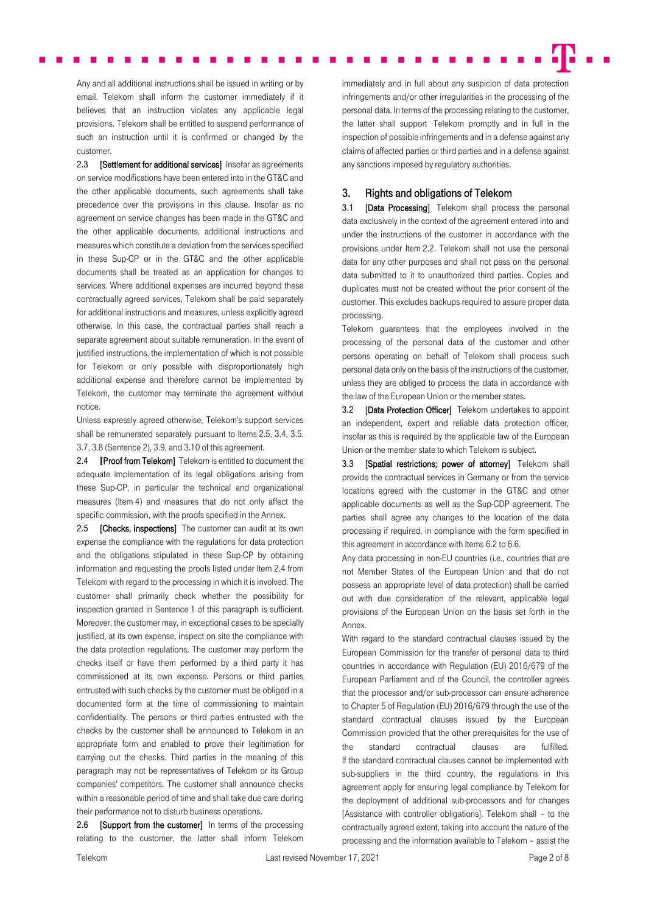Any and all additional instructions shall be issued in writing or by email. Telekom shall inform the customer immediately if it believes that an instruction violates any applicable legal provisions. Telekom shall be entitled to suspend performance of such an instruction until it is confirmed or changed by the customer.

2.3 **[Settlement for additional services]** Insofar as agreements on service modifications have been entered into in the GT&C and the other applicable documents, such agreements shall take precedence over the provisions in this clause. Insofar as no agreement on service changes has been made in the GT&C and the other applicable documents, additional instructions and measures which constitute a deviation from the services specified in these Sup-CP or in the GT&C and the other applicable documents shall be treated as an application for changes to services. Where additional expenses are incurred beyond these contractually agreed services, Telekom shall be paid separately for additional instructions and measures, unless explicitly agreed otherwise. In this case, the contractual parties shall reach a separate agreement about suitable remuneration. In the event of justified instructions, the implementation of which is not possible for Telekom or only possible with disproportionately high additional expense and therefore cannot be implemented by Telekom, the customer may terminate the agreement without notice.

Unless expressly agreed otherwise, Telekom's support services shall be remunerated separately pursuant to Items 2.5, 3.4, 3.5, 3.7, 3.8 (Sentence 2), 3.9, and 3.10 of this agreement.

2.4 **[**Proof from Telekom] Telekom is entitled to document the adequate implementation of its legal obligations arising from these Sup-CP, in particular the technical and organizational measures (Item 4) and measures that do not only affect the specific commission, with the proofs specified in the Annex.

2.5 **[Checks, inspections]** The customer can audit at its own expense the compliance with the regulations for data protection and the obligations stipulated in these Sup-CP by obtaining information and requesting the proofs listed under Item 2.4 from Telekom with regard to the processing in which it is involved. The customer shall primarily check whether the possibility for inspection granted in Sentence 1 of this paragraph is sufficient. Moreover, the customer may, in exceptional cases to be specially justified, at its own expense, inspect on site the compliance with the data protection regulations. The customer may perform the checks itself or have them performed by a third party it has commissioned at its own expense. Persons or third parties entrusted with such checks by the customer must be obliged in a documented form at the time of commissioning to maintain confidentiality. The persons or third parties entrusted with the checks by the customer shall be announced to Telekom in an appropriate form and enabled to prove their legitimation for carrying out the checks. Third parties in the meaning of this paragraph may not be representatives of Telekom or its Group companies' competitors. The customer shall announce checks within a reasonable period of time and shall take due care during their performance not to disturb business operations.

2.6 **[Support from the customer]** In terms of the processing relating to the customer, the latter shall inform Telekom immediately and in full about any suspicion of data protection infringements and/or other irregularities in the processing of the personal data. In terms of the processing relating to the customer, the latter shall support Telekom promptly and in full in the inspection of possible infringements and in a defense against any claims of affected parties or third parties and in a defense against any sanctions imposed by regulatory authorities.

# 3. Rights and obligations of Telekom

3.1 [Data Processing] Telekom shall process the personal data exclusively in the context of the agreement entered into and under the instructions of the customer in accordance with the provisions under Item 2.2. Telekom shall not use the personal data for any other purposes and shall not pass on the personal data submitted to it to unauthorized third parties. Copies and duplicates must not be created without the prior consent of the customer. This excludes backups required to assure proper data processing.

Telekom guarantees that the employees involved in the processing of the personal data of the customer and other persons operating on behalf of Telekom shall process such personal data only on the basis of the instructions of the customer, unless they are obliged to process the data in accordance with the law of the European Union or the member states.

3.2 [Data Protection Officer] Telekom undertakes to appoint an independent, expert and reliable data protection officer, insofar as this is required by the applicable law of the European Union or the member state to which Telekom is subject.

3.3 [Spatial restrictions; power of attorney] Telekom shall provide the contractual services in Germany or from the service locations agreed with the customer in the GT&C and other applicable documents as well as the Sup-CDP agreement. The parties shall agree any changes to the location of the data processing if required, in compliance with the form specified in this agreement in accordance with Items 6.2 to 6.6.

Any data processing in non-EU countries (i.e., countries that are not Member States of the European Union and that do not possess an appropriate level of data protection) shall be carried out with due consideration of the relevant, applicable legal provisions of the European Union on the basis set forth in the Annex.

With regard to the standard contractual clauses issued by the European Commission for the transfer of personal data to third countries in accordance with Regulation (EU) 2016/679 of the European Parliament and of the Council, the controller agrees that the processor and/or sub-processor can ensure adherence to Chapter 5 of Regulation (EU) 2016/679 through the use of the standard contractual clauses issued by the European Commission provided that the other prerequisites for the use of the standard contractual clauses are fulfilled. If the standard contractual clauses cannot be implemented with sub-suppliers in the third country, the regulations in this agreement apply for ensuring legal compliance by Telekom for the deployment of additional sub-processors and for changes [Assistance with controller obligations]. Telekom shall – to the contractually agreed extent, taking into account the nature of the processing and the information available to Telekom – assist the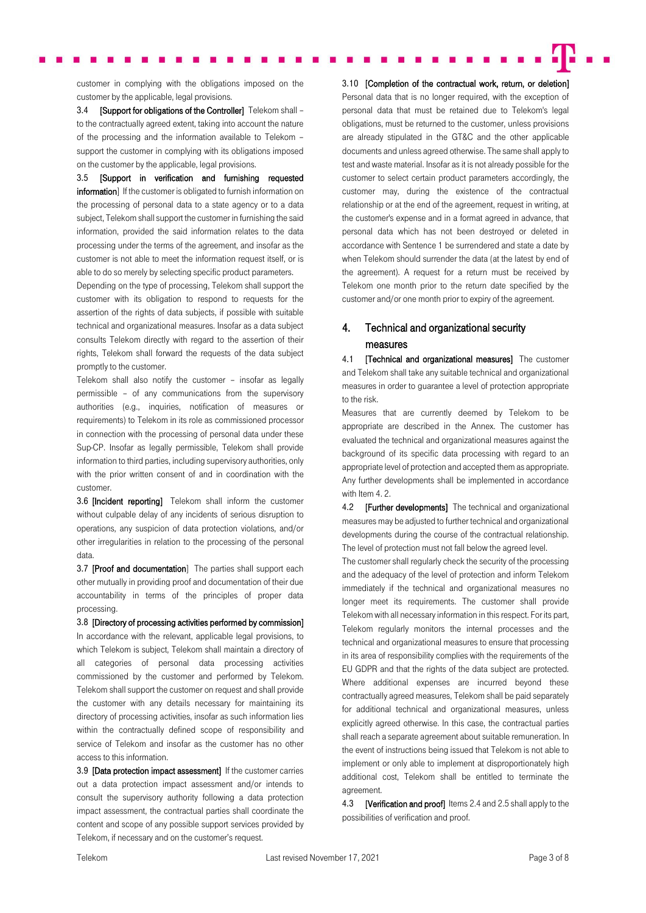customer in complying with the obligations imposed on the customer by the applicable, legal provisions.

3.4 **[Support for obligations of the Controller]** Telekom shall to the contractually agreed extent, taking into account the nature of the processing and the information available to Telekom – support the customer in complying with its obligations imposed on the customer by the applicable, legal provisions.

3.5 [Support in verification and furnishing requested information] If the customer is obligated to furnish information on the processing of personal data to a state agency or to a data subject, Telekom shall support the customer in furnishing the said information, provided the said information relates to the data processing under the terms of the agreement, and insofar as the customer is not able to meet the information request itself, or is able to do so merely by selecting specific product parameters.

Depending on the type of processing, Telekom shall support the customer with its obligation to respond to requests for the assertion of the rights of data subjects, if possible with suitable technical and organizational measures. Insofar as a data subject consults Telekom directly with regard to the assertion of their rights, Telekom shall forward the requests of the data subject promptly to the customer.

Telekom shall also notify the customer – insofar as legally permissible – of any communications from the supervisory authorities (e.g., inquiries, notification of measures or requirements) to Telekom in its role as commissioned processor in connection with the processing of personal data under these Sup-CP. Insofar as legally permissible, Telekom shall provide information to third parties, including supervisory authorities, only with the prior written consent of and in coordination with the customer.

3.6 [Incident reporting] Telekom shall inform the customer without culpable delay of any incidents of serious disruption to operations, any suspicion of data protection violations, and/or other irregularities in relation to the processing of the personal data.

3.7 [Proof and documentation] The parties shall support each other mutually in providing proof and documentation of their due accountability in terms of the principles of proper data processing.

3.8 [Directory of processing activities performed by commission] In accordance with the relevant, applicable legal provisions, to which Telekom is subject, Telekom shall maintain a directory of all categories of personal data processing activities commissioned by the customer and performed by Telekom. Telekom shall support the customer on request and shall provide the customer with any details necessary for maintaining its directory of processing activities, insofar as such information lies within the contractually defined scope of responsibility and service of Telekom and insofar as the customer has no other access to this information.

3.9 [Data protection impact assessment] If the customer carries out a data protection impact assessment and/or intends to consult the supervisory authority following a data protection impact assessment, the contractual parties shall coordinate the content and scope of any possible support services provided by Telekom, if necessary and on the customer's request.

3.10 [Completion of the contractual work, return, or deletion] Personal data that is no longer required, with the exception of personal data that must be retained due to Telekom's legal obligations, must be returned to the customer, unless provisions are already stipulated in the GT&C and the other applicable documents and unless agreed otherwise. The same shall apply to test and waste material. Insofar as it is not already possible for the customer to select certain product parameters accordingly, the customer may, during the existence of the contractual relationship or at the end of the agreement, request in writing, at the customer's expense and in a format agreed in advance, that personal data which has not been destroyed or deleted in accordance with Sentence 1 be surrendered and state a date by when Telekom should surrender the data (at the latest by end of the agreement). A request for a return must be received by Telekom one month prior to the return date specified by the customer and/or one month prior to expiry of the agreement.

# 4. Technical and organizational security measures

4.1 **[Technical and organizational measures]** The customer and Telekom shall take any suitable technical and organizational measures in order to guarantee a level of protection appropriate to the risk.

Measures that are currently deemed by Telekom to be appropriate are described in the Annex. The customer has evaluated the technical and organizational measures against the background of its specific data processing with regard to an appropriate level of protection and accepted them as appropriate. Any further developments shall be implemented in accordance with Item 4. 2.

4.2 **[Further developments]** The technical and organizational measures may be adjusted to further technical and organizational developments during the course of the contractual relationship. The level of protection must not fall below the agreed level.

The customer shall regularly check the security of the processing and the adequacy of the level of protection and inform Telekom immediately if the technical and organizational measures no longer meet its requirements. The customer shall provide Telekom with all necessary information in this respect. For its part, Telekom regularly monitors the internal processes and the technical and organizational measures to ensure that processing in its area of responsibility complies with the requirements of the EU GDPR and that the rights of the data subject are protected. Where additional expenses are incurred beyond these contractually agreed measures, Telekom shall be paid separately for additional technical and organizational measures, unless explicitly agreed otherwise. In this case, the contractual parties shall reach a separate agreement about suitable remuneration. In the event of instructions being issued that Telekom is not able to implement or only able to implement at disproportionately high additional cost, Telekom shall be entitled to terminate the agreement.

4.3 **[Verification and proof]** Items 2.4 and 2.5 shall apply to the possibilities of verification and proof.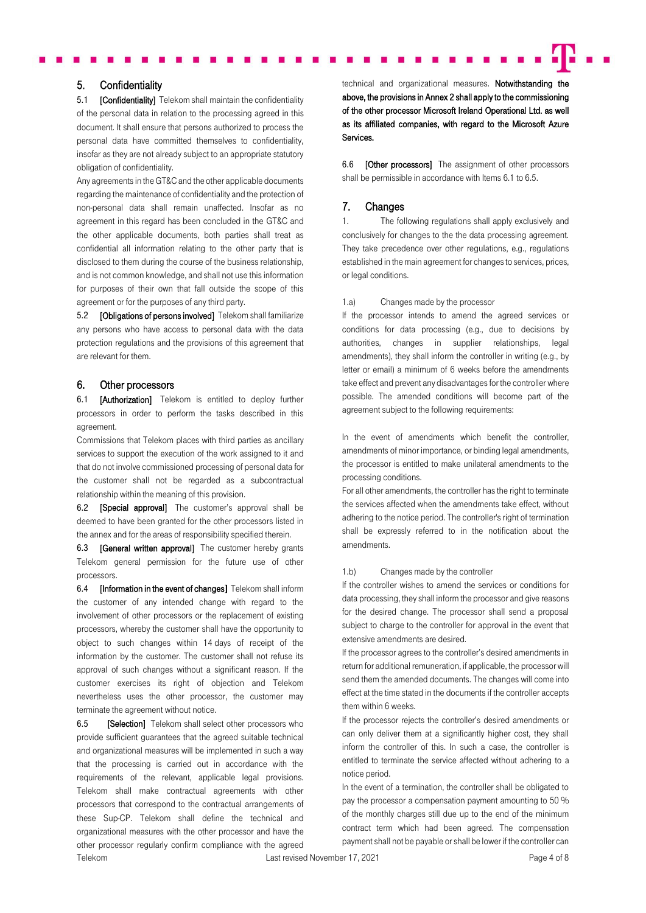#### 5. Confidentiality

5.1 [Confidentiality] Telekom shall maintain the confidentiality of the personal data in relation to the processing agreed in this document. It shall ensure that persons authorized to process the personal data have committed themselves to confidentiality, insofar as they are not already subject to an appropriate statutory obligation of confidentiality.

Any agreements in the GT&C and the other applicable documents regarding the maintenance of confidentiality and the protection of non-personal data shall remain unaffected. Insofar as no agreement in this regard has been concluded in the GT&C and the other applicable documents, both parties shall treat as confidential all information relating to the other party that is disclosed to them during the course of the business relationship, and is not common knowledge, and shall not use this information for purposes of their own that fall outside the scope of this agreement or for the purposes of any third party.

5.2 **[Obligations of persons involved]** Telekom shall familiarize any persons who have access to personal data with the data protection regulations and the provisions of this agreement that are relevant for them.

### 6. Other processors

6.1 **[Authorization]** Telekom is entitled to deploy further processors in order to perform the tasks described in this agreement.

Commissions that Telekom places with third parties as ancillary services to support the execution of the work assigned to it and that do not involve commissioned processing of personal data for the customer shall not be regarded as a subcontractual relationship within the meaning of this provision.

6.2 **[Special approval]** The customer's approval shall be deemed to have been granted for the other processors listed in the annex and for the areas of responsibility specified therein.

6.3 **[General written approval]** The customer hereby grants Telekom general permission for the future use of other processors.

6.4 [Information in the event of changes**]** Telekom shall inform the customer of any intended change with regard to the involvement of other processors or the replacement of existing processors, whereby the customer shall have the opportunity to object to such changes within 14 days of receipt of the information by the customer. The customer shall not refuse its approval of such changes without a significant reason. If the customer exercises its right of objection and Telekom nevertheless uses the other processor, the customer may terminate the agreement without notice.

Telekom **Last revised November 17, 2021 COVERGING Page 4 of 8** and the Last revised November 17, 2021 6.5 **[Selection]** Telekom shall select other processors who provide sufficient guarantees that the agreed suitable technical and organizational measures will be implemented in such a way that the processing is carried out in accordance with the requirements of the relevant, applicable legal provisions. Telekom shall make contractual agreements with other processors that correspond to the contractual arrangements of these Sup-CP. Telekom shall define the technical and organizational measures with the other processor and have the other processor regularly confirm compliance with the agreed

technical and organizational measures. Notwithstanding the above, the provisions in Annex 2 shall apply to the commissioning of the other processor Microsoft Ireland Operational Ltd. as well as its affiliated companies, with regard to the Microsoft Azure Services.

6.6 **[Other processors]** The assignment of other processors shall be permissible in accordance with Items 6.1 to 6.5.

#### 7. Changes

1. The following regulations shall apply exclusively and conclusively for changes to the the data processing agreement. They take precedence over other regulations, e.g., regulations established in the main agreement for changes to services, prices, or legal conditions.

#### 1.a) Changes made by the processor

If the processor intends to amend the agreed services or conditions for data processing (e.g., due to decisions by authorities, changes in supplier relationships, legal amendments), they shall inform the controller in writing (e.g., by letter or email) a minimum of 6 weeks before the amendments take effect and prevent any disadvantages for the controller where possible. The amended conditions will become part of the agreement subject to the following requirements:

In the event of amendments which benefit the controller, amendments of minor importance, or binding legal amendments, the processor is entitled to make unilateral amendments to the processing conditions.

For all other amendments, the controller has the right to terminate the services affected when the amendments take effect, without adhering to the notice period. The controller's right of termination shall be expressly referred to in the notification about the amendments.

#### 1.b) Changes made by the controller

If the controller wishes to amend the services or conditions for data processing, they shall inform the processor and give reasons for the desired change. The processor shall send a proposal subject to charge to the controller for approval in the event that extensive amendments are desired.

If the processor agrees to the controller's desired amendments in return for additional remuneration, if applicable, the processor will send them the amended documents. The changes will come into effect at the time stated in the documents if the controller accepts them within 6 weeks.

If the processor rejects the controller's desired amendments or can only deliver them at a significantly higher cost, they shall inform the controller of this. In such a case, the controller is entitled to terminate the service affected without adhering to a notice period.

In the event of a termination, the controller shall be obligated to pay the processor a compensation payment amounting to 50 % of the monthly charges still due up to the end of the minimum contract term which had been agreed. The compensation payment shall not be payable or shall be lower if the controller can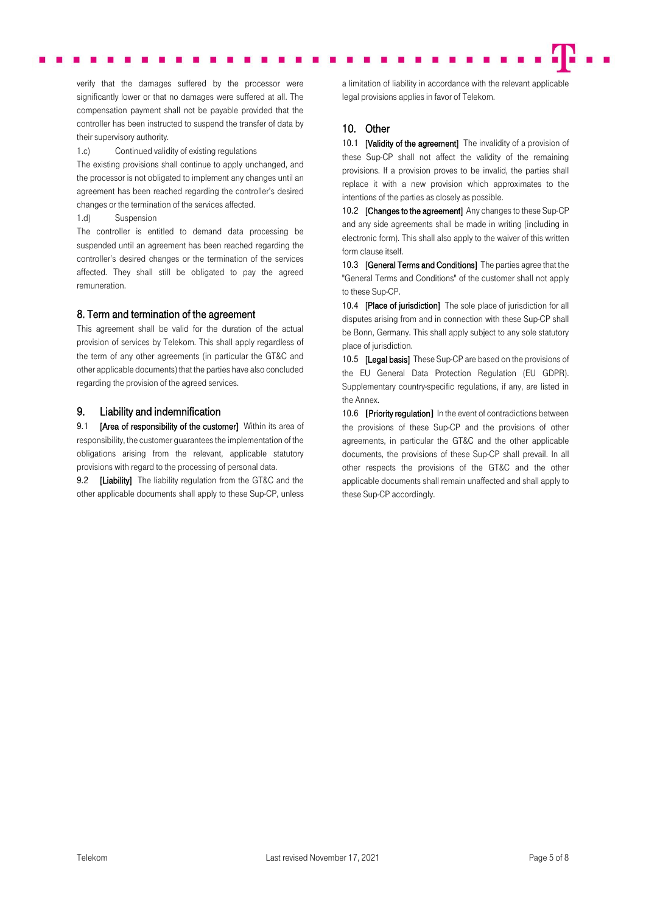verify that the damages suffered by the processor were significantly lower or that no damages were suffered at all. The compensation payment shall not be payable provided that the controller has been instructed to suspend the transfer of data by their supervisory authority.

1.c) Continued validity of existing regulations

The existing provisions shall continue to apply unchanged, and the processor is not obligated to implement any changes until an agreement has been reached regarding the controller's desired changes or the termination of the services affected.

1.d) Suspension

The controller is entitled to demand data processing be suspended until an agreement has been reached regarding the controller's desired changes or the termination of the services affected. They shall still be obligated to pay the agreed remuneration.

# 8. Term and termination of the agreement

This agreement shall be valid for the duration of the actual provision of services by Telekom. This shall apply regardless of the term of any other agreements (in particular the GT&C and other applicable documents) that the parties have also concluded regarding the provision of the agreed services.

### 9. Liability and indemnification

9.1 **[Area of responsibility of the customer]** Within its area of responsibility, the customer guarantees the implementation of the obligations arising from the relevant, applicable statutory provisions with regard to the processing of personal data.

9.2 [Liability] The liability regulation from the GT&C and the other applicable documents shall apply to these Sup-CP, unless a limitation of liability in accordance with the relevant applicable legal provisions applies in favor of Telekom.

### 10. Other

10.1 **IValidity of the agreement** The invalidity of a provision of these Sup-CP shall not affect the validity of the remaining provisions. If a provision proves to be invalid, the parties shall replace it with a new provision which approximates to the intentions of the parties as closely as possible.

10.2 [Changes to the agreement] Any changes to these Sup-CP and any side agreements shall be made in writing (including in electronic form). This shall also apply to the waiver of this written form clause itself.

10.3 **[General Terms and Conditions]** The parties agree that the "General Terms and Conditions" of the customer shall not apply to these Sup-CP.

10.4 [Place of jurisdiction] The sole place of jurisdiction for all disputes arising from and in connection with these Sup-CP shall be Bonn, Germany. This shall apply subject to any sole statutory place of jurisdiction.

10.5 **[Legal basis]** These Sup-CP are based on the provisions of the EU General Data Protection Regulation (EU GDPR). Supplementary country-specific regulations, if any, are listed in the Annex.

10.6 **[**Priority regulation**]** In the event of contradictions between the provisions of these Sup-CP and the provisions of other agreements, in particular the GT&C and the other applicable documents, the provisions of these Sup-CP shall prevail. In all other respects the provisions of the GT&C and the other applicable documents shall remain unaffected and shall apply to these Sup-CP accordingly.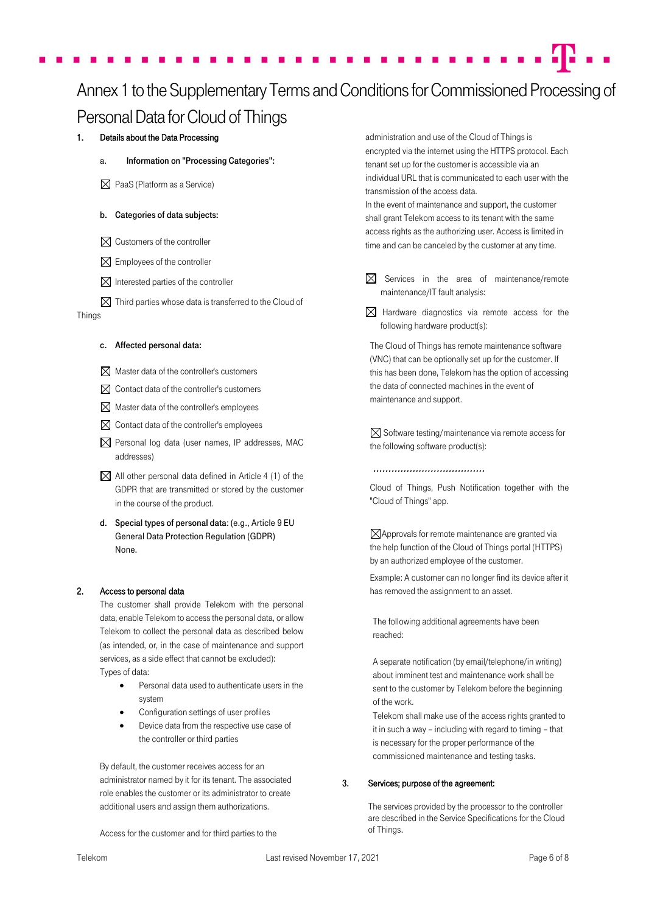# Annex1 to the Supplementary Terms and Conditions for Commissioned Processing of Personal Data for Cloud of Things

# 1. Details about the Data Processing

- Information on "Processing Categories":
- $\boxtimes$  PaaS (Platform as a Service)

### b. Categories of data subjects:

- $\boxtimes$  Customers of the controller
- $\boxtimes$  Employees of the controller
- $\boxtimes$  Interested parties of the controller
- $\boxtimes$  Third parties whose data is transferred to the Cloud of

#### Things

#### c. Affected personal data:

- $\boxtimes$  Master data of the controller's customers
- $\boxtimes$  Contact data of the controller's customers
- $\boxtimes$  Master data of the controller's employees
- $\boxtimes$  Contact data of the controller's employees
- $\boxtimes$  Personal log data (user names, IP addresses, MAC addresses)
- $\boxtimes$  All other personal data defined in Article 4 (1) of the GDPR that are transmitted or stored by the customer in the course of the product.
- d. Special types of personal data: (e.g., Article 9 EU General Data Protection Regulation (GDPR) None.

#### 2. Access to personal data

The customer shall provide Telekom with the personal data, enable Telekom to access the personal data, or allow Telekom to collect the personal data as described below (as intended, or, in the case of maintenance and support services, as a side effect that cannot be excluded): Types of data:

- Personal data used to authenticate users in the system
- Configuration settings of user profiles
- Device data from the respective use case of the controller or third parties

By default, the customer receives access for an administrator named by it for its tenant. The associated role enables the customer or its administrator to create additional users and assign them authorizations.

Access for the customer and for third parties to the

administration and use of the Cloud of Things is encrypted via the internet using the HTTPS protocol. Each tenant set up for the customer is accessible via an individual URL that is communicated to each user with the transmission of the access data.

In the event of maintenance and support, the customer shall grant Telekom access to its tenant with the same access rights as the authorizing user. Access is limited in time and can be canceled by the customer at any time.

- $\boxtimes$  Services in the area of maintenance/remote maintenance/IT fault analysis:
- $\boxtimes$  Hardware diagnostics via remote access for the following hardware product(s):

The Cloud of Things has remote maintenance software (VNC) that can be optionally set up for the customer. If this has been done, Telekom has the option of accessing the data of connected machines in the event of maintenance and support.

 $\boxtimes$  Software testing/maintenance via remote access for the following software product(s):

#### ……………………………………

Cloud of Things, Push Notification together with the "Cloud of Things" app.

 $\boxtimes$  Approvals for remote maintenance are granted via the help function of the Cloud of Things portal (HTTPS) by an authorized employee of the customer.

Example: A customer can no longer find its device after it has removed the assignment to an asset.

The following additional agreements have been reached:

A separate notification (by email/telephone/in writing) about imminent test and maintenance work shall be sent to the customer by Telekom before the beginning of the work.

Telekom shall make use of the access rights granted to it in such a way – including with regard to timing – that is necessary for the proper performance of the commissioned maintenance and testing tasks.

#### 3. Services; purpose of the agreement:

The services provided by the processor to the controller are described in the Service Specifications for the Cloud of Things.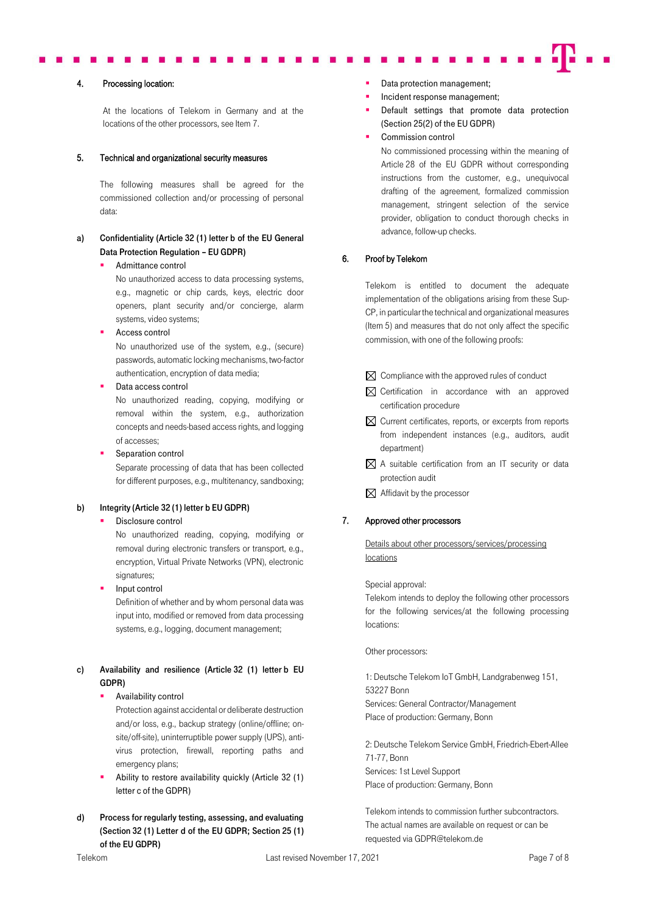#### 4. Processing location:

At the locations of Telekom in Germany and at the locations of the other processors, see Item 7.

#### 5. Technical and organizational security measures

The following measures shall be agreed for the commissioned collection and/or processing of personal data:

# a) Confidentiality (Article 32 (1) letter b of the EU General Data Protection Regulation – EU GDPR)

Admittance control

No unauthorized access to data processing systems, e.g., magnetic or chip cards, keys, electric door openers, plant security and/or concierge, alarm systems, video systems;

Access control

No unauthorized use of the system, e.g., (secure) passwords, automatic locking mechanisms, two-factor authentication, encryption of data media;

Data access control

No unauthorized reading, copying, modifying or removal within the system, e.g., authorization concepts and needs-based access rights, and logging of accesses;

Separation control Separate processing of data that has been collected for different purposes, e.g., multitenancy, sandboxing;

#### b) Integrity (Article 32 (1) letter b EU GDPR)

#### Disclosure control

No unauthorized reading, copying, modifying or removal during electronic transfers or transport, e.g., encryption, Virtual Private Networks (VPN), electronic signatures;

Input control

Definition of whether and by whom personal data was input into, modified or removed from data processing systems, e.g., logging, document management;

### c) Availability and resilience (Article 32 (1) letter b EU GDPR)

# Availability control

Protection against accidental or deliberate destruction and/or loss, e.g., backup strategy (online/offline; onsite/off-site), uninterruptible power supply (UPS), antivirus protection, firewall, reporting paths and emergency plans;

- Ability to restore availability quickly (Article 32 (1) letter c of the GDPR)
- d) Process for regularly testing, assessing, and evaluating (Section 32 (1) Letter d of the EU GDPR; Section 25 (1) of the EU GDPR)
- Data protection management:
- Incident response management;
- Default settings that promote data protection (Section 25(2) of the EU GDPR)
- Commission control

No commissioned processing within the meaning of Article 28 of the EU GDPR without corresponding instructions from the customer, e.g., unequivocal drafting of the agreement, formalized commission management, stringent selection of the service provider, obligation to conduct thorough checks in advance, follow-up checks.

### 6. Proof by Telekom

Telekom is entitled to document the adequate implementation of the obligations arising from these Sup-CP, in particular the technical and organizational measures (Item 5) and measures that do not only affect the specific commission, with one of the following proofs:

- $\boxtimes$  Compliance with the approved rules of conduct
- $\boxtimes$  Certification in accordance with an approved certification procedure
- $\boxtimes$  Current certificates, reports, or excerpts from reports from independent instances (e.g., auditors, audit department)
- $\boxtimes$  A suitable certification from an IT security or data protection audit
- $\boxtimes$  Affidavit by the processor

# 7. Approved other processors

Details about other processors/services/processing locations

#### Special approval:

Telekom intends to deploy the following other processors for the following services/at the following processing locations:

Other processors:

1: Deutsche Telekom IoT GmbH, Landgrabenweg 151, 53227 Bonn Services: General Contractor/Management Place of production: Germany, Bonn

2: Deutsche Telekom Service GmbH, Friedrich-Ebert-Allee 71-77, Bonn Services: 1st Level Support Place of production: Germany, Bonn

Telekom intends to commission further subcontractors. The actual names are available on request or can be requested vi[a GDPR@telekom.de](mailto:GDPR@telekom.de)